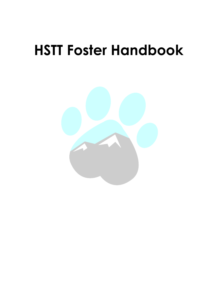# **HSTT Foster Handbook**

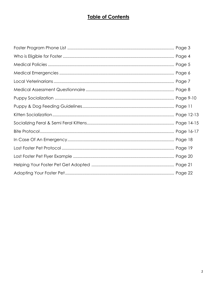## **Table of Contents**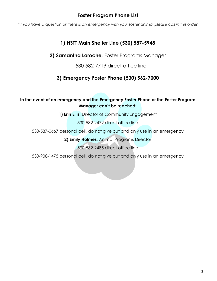### **Foster Program Phone List**

*\*If you have a question or there is an emergency with your foster animal please call in this order*

## **1) HSTT Main Shelter Line (530) 587-5948**

**2) Samantha Laroche,** Foster Programs Manager

530-582-7719 direct office line

## **3) Emergency Foster Phone (530) 562-7000**

#### **In the event of an emergency and the Emergency Foster Phone or the Foster Program Manager can't be reached:**

**1) Erin Ellis**, Director of Community Engagement

530-582-2472 direct office line

530-587-0667 personal cell, do not give out and only use in an emergency

**2) Emily Holmes**, Animal Programs Director

530-582-2485 direct office line

530-908-1475 personal cell, do not give out and only use in an emergency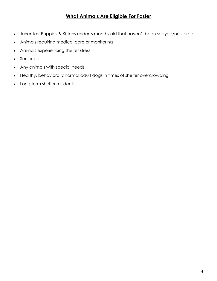## **What Animals Are Eligible For Foster**

- Juveniles: Puppies & Kittens under 6 months old that haven't been spayed/neutered
- Animals requiring medical care or monitoring
- Animals experiencing shelter stress
- Senior pets
- Any animals with special needs
- Healthy, behaviorally normal adult dogs in times of shelter overcrowding
- Long term shelter residents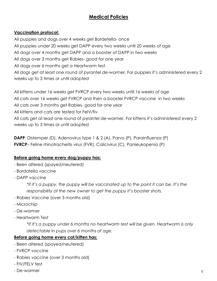## **Medical Policies**

#### **Vaccination protocol:**

All puppies and dogs over 4 weeks get Bordetella- once All puppies under 20 weeks get DAPP every two weeks until 20 weeks of age All dogs over 4 months get DAPP and a booster of DAPP in two weeks All dogs over 3 months get Rabies- good for one year All dogs over 6 months get a Heartworm test All dogs get at least one round of pyrantel de-wormer. For puppies it's administered every 2 weeks up to 3 times or until adopted

All kittens under 16 weeks get FVRCP every two weeks until 16 weeks of age All cats over 16 weeks get FVRCP and then a booster FVRCP vaccine in two weeks All cats over 3 months get Rabies- good for one year All kittens and cats are tested for FelV/fiv All cats get at least one round of pyrantel de-wormer. For kittens it's administered every 2 weeks up to 3 times or until adopted

**DAPP**: Distemper (D), Adenovirus type 1 & 2 (A), Parvo (P), Parainfluenza (P) **FVRCP**– Feline rhinotracheitis virus (FVR), Calicivirus (C), Panleukopenia (P)

#### **Before going home every dog/puppy has:**

- Been altered (spayed/neutered)
- Bordatella vaccine
- DAPP vaccine

*\*if it's a puppy, the puppy will be vaccinated up to the point it can be. It's the responsibility of the new owner to get the puppy it's booster shots.* 

- Rabies Vaccine (over 3 months old)
- Microchip
- De-wormer
- Heartworm Test

*\*if it's a puppy under 6 months no heartworm test will be given. Heartworm is only detectable in pups over 6 months of age.* 

#### **Before going home every cat/kitten has:**

- Been altered (spayed/neutered)
- FVRCP vaccine
- Rabies vaccine (over 3 months old)
- FIV/FELV test
- De-wormer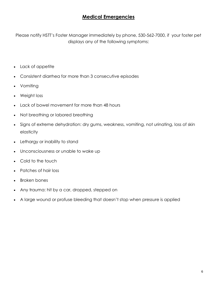## **Medical Emergencies**

Please notify HSTT's Foster Manager immediately by phone, 530-562-7000, if your foster pet displays any of the following symptoms:

- Lack of appetite
- Consistent diarrhea for more than 3 consecutive episodes
- Vomiting
- Weight loss
- Lack of bowel movement for more than 48 hours
- Not breathing or labored breathing
- Signs of extreme dehydration: dry gums, weakness, vomiting, not urinating, loss of skin elasticity
- Lethargy or inability to stand
- Unconsciousness or unable to wake up
- Cold to the touch
- Patches of hair loss
- Broken bones
- Any trauma: hit by a car, dropped, stepped on
- A large wound or profuse bleeding that doesn't stop when pressure is applied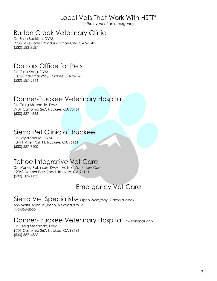## Local Vets That Work With HSTT\*

*In the event of an emergency*

## Burton Creek Veterinary Clinic

Dr. Brian Buckton, DVM 2933 Lake Forest Road #2 Tahoe City, CA 96145 (530) 583-8587

## Doctors Office for Pets

Dr. Gina Kang, DVM 10939 Industrial Way, Truckee, CA 96161 (530) 587-5144

## Donner-Truckee Veterinary Hospital

Dr. Craig Machado, DVM 9701 California 267, Truckee, CA 96161 (530) 587-4366

## Sierra Pet Clinic of Truckee

Dr. Twyla Sperka, DVM 10411 River Park Pl, Truckee, CA 96161 (530) 587-7200

## Tahoe Integrative Vet Care

Dr. Wendy Robinson, DVM - Holistic Veterinary Care 12068 Donner Pass Road, Truckee, CA 96161 (530) 582-1133

## Emergency Vet Care

Sierra Vet Specialists- Open 24hrs/day, 7 days a week 555 Morrill Avenue, [Reno, Nevada 89512](https://goo.gl/maps/4UZeQTxp9r62) 775-358-8555

Donner-Truckee Veterinary Hospital \*weekends only

Dr. Craig Machado, DVM 9701 California 267, Truckee, CA 96161 (530) 587-4366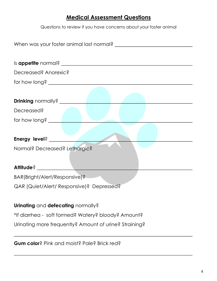## **Medical Assessment Questions**

Questions to review if you have concerns about your foster animal

| When was your foster animal last normal?               |  |  |
|--------------------------------------------------------|--|--|
|                                                        |  |  |
|                                                        |  |  |
| Decreased? Anorexic?                                   |  |  |
|                                                        |  |  |
|                                                        |  |  |
| <b>Drinking</b> normally? ______________               |  |  |
| Decreased?                                             |  |  |
|                                                        |  |  |
|                                                        |  |  |
| Energy level? _____                                    |  |  |
| Normal? Decreased? Lethargic?                          |  |  |
|                                                        |  |  |
| Attitude?                                              |  |  |
| BAR(Bright/Alert/Responsive)?                          |  |  |
| QAR (Quiet/Alert/ Responsive)? Depressed?              |  |  |
|                                                        |  |  |
| Urinating and defecating normally?                     |  |  |
| *If diarrhea - soft formed? Watery? bloody? Amount?    |  |  |
| Urinating more frequently? Amount of urine? Straining? |  |  |

**Gum color**? Pink and moist? Pale? Brick red?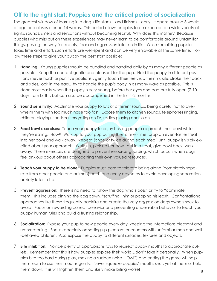## **Off to the right start: Puppies and the critical period of socialization**

The greatest window of learning in a dog's life starts – and finishes – early: it opens around 3 weeks of age and closes around 14 weeks. This period allows puppies to be exposed to a wide variety of sights, sounds, smells and sensations without becoming fearful. Why does this matter? Because puppies who miss out on these experiences may never learn to be comfortable around unfamiliar things, paving the way for anxiety, fear and aggression later on in life. While socializing puppies takes time and effort, such efforts are well-spent and can be very enjoyable at the same time. Follow these steps to give your puppy the best start possible:

- 1. **Handling**: Young puppies should be cuddled and handled daily by as many different people as possible. Keep the contact gentle and pleasant for the pup. Hold the puppy in different positions (never harsh or punitive positions), gently touch their feet, rub their muzzle, stroke their back and sides, look in the ears…try to handle the pup's body in as many ways as possible. This is done most easily when the puppy is very young, before her eyes and ears are fully open (7-10 days from birth), but can also be accomplished in the first 1-2 months.
- 2. **Sound sensitivity:** Acclimate your puppy to lots of different sounds, being careful not to overwhelm them with too much noise too fast. Expose them to kitchen sounds, telephones ringing, children playing, sportscasters yelling on TV, radios playing and so on.
- 3. **Food bowl exercises:** Teach your puppy to enjoy having people approach their bowl while they're eating. How? Walk up to your pup during their dinner-time, drop an even-tastier treat into her bowl and walk away. Repeat (once or twice during each meal) until puppy is visibly excited about your approach. Walk up, pick up her bowl, put in a treat, give bowl back, walk away. These exercises are designed to prevent resource-guarding, which occurs when dogs feel anxious about others approaching their own valued resources.
- 4. **Teach your puppy to be alone:** Puppies must learn to tolerate being alone (completely separate from other people and animals) each and every day so as to avoid developing separation anxiety later in life.
- 5. **Prevent aggression:** There is no need to "show the dog who's boss" or try to "dominate" them. This includes pinning the dog down, "scruffing" him or popping his leash. Confrontational approaches like these frequently backfire and create the very aggression dogs owners seek to avoid. Focus on rewarding correct behavior and preventing undesirable behavior to teach your puppy human rules and build a trusting relationship.
- 6. **Socialization:** Expose your pup to new people every day, keeping the interactions pleasant and unthreatening. Focus especially on setting up pleasant encounters with unfamiliar men and well -behaved children. Also expose the puppy to different surfaces, textures and objects.
- 7. **Bite inhibition:** Provide plenty of appropriate toys to redirect puppy mouths to appropriate outlets. Remember that this is how puppies explore their world…don't take it personally! When puppies bite too hard during play, making a sudden noise ("Ow!") and ending the game will help them learn to use their mouths gently. Never squeeze puppies' mouths shut, yell at them or hold them down: this will frighten them and likely make biting worse!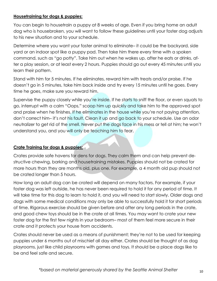#### **Housetraining for dogs & puppies:**

You can begin to housetrain a puppy at 8 weeks of age. Even if you bring home an adult dog who is housebroken, you will want to follow these guidelines until your foster dog adjusts to his new situation and to your schedule.

Determine where you want your foster animal to eliminate– it could be the backyard, side yard or an indoor spot like a puppy pad. Then take him there every time with a spoken command, such as "go potty". Take him out when he wakes up, after he eats or drinks, after a play session, or at least every 2 hours. Puppies should go out every 45 minutes until you learn their pattern.

Stand with him for 5 minutes. If he eliminates, reward him with treats and/or praise. If he doesn't go in 5 minutes, take him back inside and try every 15 minutes until he goes. Every time he goes, make sure you reward him.

Supervise the puppy closely while you're inside. If he starts to sniff the floor, or even squats to go, interrupt with a calm "Oops," scoop him up quickly and take him to the approved spot and praise when he finishes. If he eliminates in the house while you're not paying attention, don't correct him– it's not his fault. Clean it up and go back to your schedule. Use an odor neutralizer to get rid of the smell. Never put the dogs face in his mess or tell at him; he won't understand you, and you will only be teaching him to fear.

#### **Crate Training for dogs & puppies:**

Crates provide safe havens for dens for dogs. They calm them and can help prevent destructive chewing, barking and housetraining mistakes. Puppies should not be crated for more hours than they are months old, plus one. For example, a 4 month old pup should not be crated longer than 5 hours.

How long an adult dog can be crated will depend on many factors. For example, if your foster dog was left outside, he has never been required to hold it for any period of time. It will take time for this dog to learn to hold it, and you will need to start slowly. Older dogs and dogs with some medical conditions may only be able to successfully hold it for short periods of time. Rigorous exercise should be given before and after any long periods in the crate, and good chew toys should be in the crate at all times. You may want to crate your new foster dog for the first few nights in your bedroom– most of them feel more secure in their crate and it protects your house from accidents.

Crates should never be used as a means of punishment; they're not to be used for keeping puppies under 6 months out of mischief all day either. Crates should be thought of as dog playrooms, just like child playrooms with games and toys. It should be a place dogs like to be and feel safe and secure.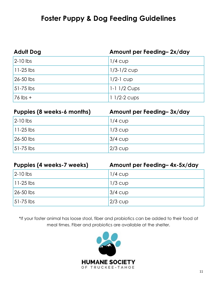## **Foster Puppy & Dog Feeding Guidelines**

| <b>Adult Dog</b>  | Amount per Feeding-2x/day |
|-------------------|---------------------------|
| $2-10$ lbs        | $1/4$ CUD                 |
| $\vert$ 11-25 lbs | $1/3 - 1/2$ cup           |
| $26 - 50$ lbs     | $1/2-1$ cup               |
| $51-75$ lbs       | $ 1 - 1 $ $1/2$ Cups      |
| $76$ lbs +        | $11/2-2$ cups             |

| Puppies (8 weeks-6 months) | Amount per Feeding-3x/day |
|----------------------------|---------------------------|
| $2-10$ lbs                 | $1/4$ CUP                 |
| $11-25$ lbs                | $1/3$ cup                 |
| 26-50 lbs                  | $3/4$ $CUD$               |
| $51 - 75$ lbs              | $ 2/3$ cup                |

| Puppies (4 weeks-7 weeks) | Amount per Feeding-4x-5x/day |
|---------------------------|------------------------------|
| $2-10$ lbs                | $1/4$ CUD                    |
| $11-25$ lbs               | $1/3$ cup                    |
| 26-50 lbs                 | $ 3/4$ cup                   |
| 51-75 lbs                 | $2/3$ cup                    |

\*If your foster animal has loose stool, fiber and probiotics can be added to their food at meal times. Fiber and probiotics are available at the shelter.

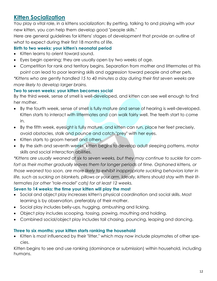## **Kitten Socialization**

You play a vital role, in a kittens socialization: By petting, talking to and playing with your new kitten, you can help them develop good "people skills."

Here are general guidelines for kittens' stages of development that provide an outline of what to expect during their first 18 months of life.

### **Birth to two weeks: your kitten's neonatal period**

- Kitten learns to orient toward sound.
- Eyes begin opening; they are usually open by two weeks of age.
- Competition for rank and territory begins. Separation from mother and littermates at this point can lead to poor learning skills and aggression toward people and other pets.

*\*Kittens who are gently handled 15 to 40 minutes a day during their first seven weeks are more likely to develop larger brains.*

### **Two to seven weeks: your kitten becomes social**

By the third week, sense of smell is well-developed, and kitten can see well enough to find her mother.

- By the fourth week, sense of smell is fully mature and sense of hearing is well-developed. Kitten starts to interact with littermates and can walk fairly well. The teeth start to come in.
- By the fifth week, eyesight is fully mature, and kitten can run, place her feet precisely, avoid obstacles, stalk and pounce and catch "prey" with her eyes.
- Kitten starts to groom herself and others.
- By the sixth and seventh weeks, kitten begins to develop adult sleeping patterns, motor skills and social interaction abilities.

*\*Kittens are usually weaned at six to seven weeks, but they may continue to suckle for com*fort as their mother gradually leaves them for longer periods of time. Orphaned kittens, or *those weaned too soon, are more likely to exhibit inappropriate suckling behaviors later in life, such as sucking on blankets, pillows or your arm. Ideally, kittens should stay with their littermates (or other "role-model" cats) for at least 12 weeks.*

### **Seven to 14 weeks: the time your kitten will play the most**

- Social and object play increases kitten's physical coordination and social skills. Most learning is by observation, preferably of their mother.
- Social play includes belly-ups, hugging, ambushing and licking.
- Object play includes scooping, tossing, pawing, mouthing and holding.
- Combined social/object play includes tail chasing, pouncing, leaping and dancing.

### **Three to six months: your kitten starts ranking the household**

 Kitten is most influenced by their "litter," which may now include playmates of other species.

Kitten begins to see and use ranking (dominance or submission) within household, including humans.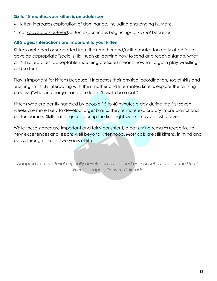#### **Six to 18 months: your kitten is an adolescent**

Kitten increases exploration of dominance, including challenging humans.

*\*If not [spayed or neutered,](http://www.humanesociety.org/issues/pet_overpopulation/facts/why_spay_neuter.html?credit=web_id142478809) kitten experiences beginnings of sexual behavior.*

#### **All Stages: Interactions are important to your kitten**

Kittens orphaned or separated from their mother and/or littermates too early often fail to develop appropriate "social skills," such as learning how to send and receive signals, what an "inhibited bite" (acceptable mouthing pressure) means, how far to go in play-wrestling and so forth.

Play is important for kittens because it increases their physical coordination, social skills and learning limits. By interacting with their mother and littermates, kittens explore the ranking process ("who's in charge") and also learn "how to be a cat."

Kittens who are gently handled by people 15 to 40 minutes a day during the first seven weeks are more likely to develop larger brains. They're more exploratory, more playful and better learners. Skills not acquired during the first eight weeks may be lost forever.

While these stages are important and fairly consistent, a cat's mind remains receptive to new experiences and lessons well beyond kittenhood. Most cats are still kittens, in mind and body, through the first two years of life.

*Adapted from material originally developed by applied animal behaviorists at the Dumb Friends League, Denver, Colorado*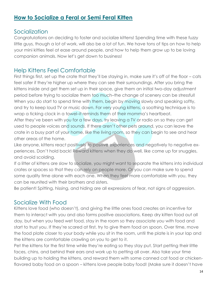## **How to Socialize a Feral or Semi Feral Kitten**

## **Socialization**

Congratulations on deciding to foster and socialize kittens! Spending time with these fuzzy little guys, though a lot of work, will also be a lot of fun. We have tons of tips on how to help your mini kitties feel at ease around people, and how to help them grow up to be loving companion animals. Now let's get down to business!

## Help Kittens Feel Comfortable

First things first, set up the crate that they'll be staying in, make sure it's off of the floor – cats feel safer if they're higher up where they can see their surroundings. After you bring the kittens inside and get them set up in their space, give them an initial two-day adjustment period before trying to socialize them too much–the change of scenery can be stressful! When you do start to spend time with them, begin by moving slowly and speaking softly, and try to keep loud TV or music down. For very young kittens, a soothing technique is to wrap a ticking clock in a towel–it reminds them of their momma's heartbeat.

After they've been with you for a few days, try leaving a TV or radio on so they can get used to people voices and sounds. If there aren't other pets around, you can leave the crate in a busy part of your home, like the living room, so they can begin to see and hear other areas of the home.

Like anyone, kittens react positively to positive experiences and negatively to negative experiences. Don't hold back! Reward kittens when they do well, like come up for snuggles, and avoid scolding.

If a litter of kittens are slow to socialize, you might want to separate the kittens into individual crates or spaces so that they can rely on people more. Or you can make sure to spend some quality time alone with each one. When they feel more comfortable with you, they can be reunited with their brothers and sisters.

Be patient! Spitting, hissing, and hiding are all expressions of fear, not signs of aggression.

## Socialize With Food

Kittens love food (who doesn't), and giving the little ones food creates an incentive for them to interact with you and also forms positive associations. Keep dry kitten food out all day, but when you feed wet food, stay in the room so they associate you with food and start to trust you. If they're scared at first, try to give them food on spoon. Over time, move the food plate closer to your body while you sit in the room, until the plate is in your lap and the kittens are comfortable crawling on you to get to it.

Pet the kittens for the first time while they're eating so they stay put. Start petting their little faces, chins, and behind their ears and work up to petting all over. Also take your time building up to holding the kittens, and reward them with some canned cat food or chickenflavored baby food on a spoon – kittens love people baby food! (Make sure it doesn't have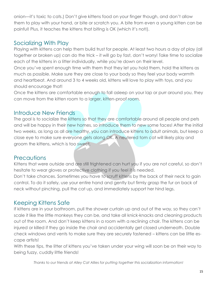onion—it's toxic to cats.) Don't give kittens food on your finger though, and don't allow them to play with your hand, or bite or scratch you. A bite from even a young kitten can be painful! Plus, it teaches the kittens that biting is OK (which it's not!).

## Socializing With Play

Playing with kittens can help them build trust for people. At least two hours a day of play (all together or broken up) can do the trick – it will go by fast, don't worry! Take time to socialize each of the kittens in a litter individually, while you're down on their level.

Once you've spent enough time with them that they let you hold them, hold the kittens as much as possible. Make sure they are close to your body so they feel your body warmth and heartbeat. And around 3 to 4 weeks old, kittens will love to play with toys, and you should encourage that!

Once the kittens are comfortable enough to fall asleep on your lap or purr around you, they can move from the kitten room to a larger, kitten-proof room.

## Introduce New Friends

The goal is to socialize the kittens so that they are comfortable around all people and pets and will be happy in their new homes, so introduce them to new some faces! After the initial two weeks, as long as all are healthy, you can introduce kittens to adult animals, but keep a close eye to make sure everyone gets along OK. A neutered tom cat will likely play and groom the kittens, which is too sweet.

## **Precautions**

Kittens that were outside and are still frightened can hurt you if you are not careful, so don't hesitate to wear gloves or protective clothing if you feel it is needed.

Don't take chances. Sometimes you have to scruff kittens by the back of their neck to gain control. To do it safely, use your entire hand and gently but firmly grasp the fur on back of neck without pinching, pull the cat up, and immediately support her hind legs.

## Keeping Kittens Safe

If kittens are in your bathroom, pull the shower curtain up and out of the way, so they can't scale it like the little monkeys they can be, and take all knick-knacks and cleaning products out of the room. And don't keep kittens in a room with a reclining chair. The kittens can be injured or killed if they go inside the chair and accidentally get closed underneath. Double check windows and vents to make sure they are securely fastened – kittens can be little escape artists!

With these tips, the litter of kittens you've taken under your wing will soon be on their way to being fuzzy, cuddly little friends!

*Thanks to our friends at Alley Cat Allies for putting together this socialization information!*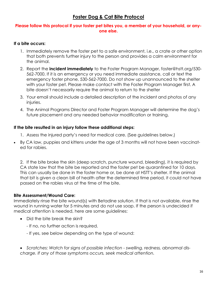## **Foster Dog & Cat Bite Protocol**

#### **Please follow this protocol if your foster pet bites you, a member of your household, or anyone else.**

#### **If a bite occurs:**

- 1. Immediately remove the foster pet to a safe environment, i.e., a crate or other option that both prevents further injury to the person and provides a calm environment for the animal.
- 2. Report the **incident immediately** to the Foster Program Manager, foster@hstt.org/530- 562-7000. If it is an emergency or you need immediate assistance, call or text the emergency foster phone, 530-562-7000. Do not show up unannounced to the shelter with your foster pet. Please make contact with the Foster Program Manager first. A bite doesn't necessarily require the animal to return to the shelter
- 3. Your email should include a detailed description of the incident and photos of any injuries.
- 4. The Animal Programs Director and Foster Program Manager will determine the dog's future placement and any needed behavior modification or training.

#### **If the bite resulted in an injury follow these additional steps:**

- 1. Assess the injured party's need for medical care. (See guidelines below.)
- By CA law, puppies and kittens under the age of 3 months will not have been vaccinated for rabies.

2. If the bite broke the skin (deep scratch, puncture wound, bleeding), it is required by CA state law that the bite be reported and the foster pet be quarantined for 10 days. This can usually be done in the foster home or, be done at HSTT's shelter. If the animal that bit is given a clean bill of health after the determined time period, it could not have passed on the rabies virus at the time of the bite.

#### **Bite Assessment/Wound Care:**

Immediately rinse the bite wound(s) with Betadine solution. If that is not available, rinse the wound in running water for 5 minutes and do not use soap. If the person is undecided if medical attention is needed, here are some guidelines:

- Did the bite break the skin?
	- If no, no further action is required.
	- If yes, see below depending on the type of wound:
- *Scratches: Watch for signs of possible infection - swelling, redness, abnormal discharge. If any of those symptoms occurs, seek medical attention.*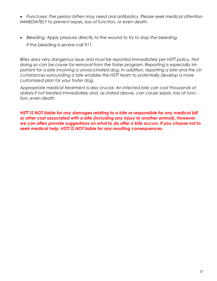- *Punctures: The person bitten may need oral antibiotics. Please seek medical attention IMMEDIATELY to prevent sepsis, loss of function, or even death.*
- *Bleeding: Apply pressure directly to the wound to try to stop the bleeding. If the bleeding is severe call 911.*

*Bites area very dangerous issue and must be reported immediately per HSTT policy. Not doing so can be cause for removal from the foster program. Reporting is especially important for a bite involving a unvaccinated dog. In addition, reporting a bite and the circumstances surrounding a bite enables the HSTT team to potentially develop a more customized plan for your foster dog.* 

*Appropriate medical treatment is also crucial. An infected bite can cost thousands of dollars if not treated immediately and, as stated above, can cause sepsis, loss of function, even death.* 

*HSTT IS NOT liable for any damages relating to a bite or responsible for any medical bill or other cost associated with a bite (including any injury to another animal). However, we can often provide suggestions on what to do after a bite occurs. If you choose not to seek medical help, HSTT IS NOT liable for any resulting consequences.*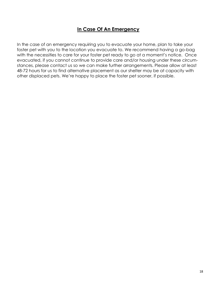### **In Case Of An Emergency**

In the case of an emergency requiring you to evacuate your home, plan to take your foster pet with you to the location you evacuate to. We recommend having a go-bag with the necessities to care for your foster pet ready to go at a moment's notice. Once evacuated, if you cannot continue to provide care and/or housing under these circumstances, please contact us so we can make further arrangements. Please allow at least 48-72 hours for us to find alternative placement as our shelter may be at capacity with other displaced pets. We're happy to place the foster pet sooner, if possible.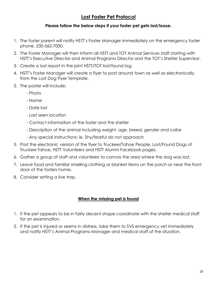## **Lost Foster Pet Protocol**

#### **Please follow the below steps if your foster pet gets lost/loose.**

- 1. The foster parent will notify HSTT's Foster Manager immediately on the emergency foster phone, 530-562-7000.
- 2. The Foster Manager will then inform all HSTT and TOT Animal Services staff starting with HSTT's Executive Director and Animal Programs Director and the TOT's Shelter Supervisor.
- 3. Create a lost report in the joint HSTT/TOT lost/found log.
- 4. HSTT's Foster Manager will create a flyer to post around town as well as electronically from the Lost Dog Flyer Template.
- 5. The poster will include:
	- Photo
	- Name
	- Date lost
	- Last seen location
	- Contact information of the foster and the shelter
	- Description of the animal including weight, age, breed, gender and collar
	- Any special instructions: ie. Shy/fearful do not approach
- 5. Post the electronic version of the flyer to Truckee/Tahoe People, Lost/Found Dogs of Truckee-Tahoe, HSTT Volunteers and HSTT Alumni Facebook pages.
- 6. Gather a group of staff and volunteers to canvas the area where the dog was lost.
- 7. Leave food and familiar smelling clothing or blanket items on the porch or near the front door of the fosters home.
- 8. Consider setting a live trap.

#### **When the missing pet is found**

- 1. If the pet appears to be in fairly decent shape coordinate with the shelter medical staff for an examination.
- 2. If the pet is injured or seems in distress, take them to SVS emergency vet immediately and notify HSTT's Animal Programs Manager and medical staff of the situation.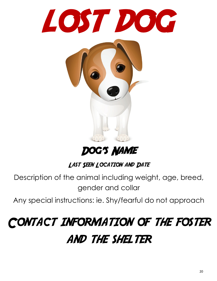

## Dog's Name

## LAST SEEN LOCATION AND DATE

Description of the animal including weight, age, breed, gender and collar

Any special instructions: ie. Shy/fearful do not approach

## Contact information of the foster **AND THE SHELTER**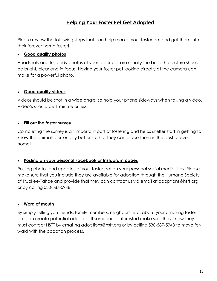## **Helping Your Foster Pet Get Adopted**

Please review the following steps that can help market your foster pet and get them into their forever home faster!

#### **Good quality photos**

Headshots and full body photos of your foster pet are usually the best. The picture should be bright, clear and in focus. Having your foster pet looking directly at the camera can make for a powerful photo.

#### **Good quality videos**

Videos should be shot in a wide angle, so hold your phone sideways when taking a video. Video's should be 1 minute or less.

#### **Fill out the foster survey**

Completing the survey is an important part of fostering and helps shelter staff in getting to know the animals personality better so that they can place them in the best forever home!

#### **Posting on your personal Facebook or Instagram pages**

Posting photos and updates of your foster pet on your personal social media sites. Please make sure that you include they are available for adoption through the Humane Society of Truckee-Tahoe and provide that they can contact us via email at adoptions@hstt.org or by calling 530-587-5948

#### **Word of mouth**

By simply telling you friends, family members, neighbors, etc. about your amazing foster pet can create potential adopters. If someone is interested make sure they know they must contact HSTT by emailing adoptions@hstt.org or by calling 530-587-5948 to move forward with the adoption process.